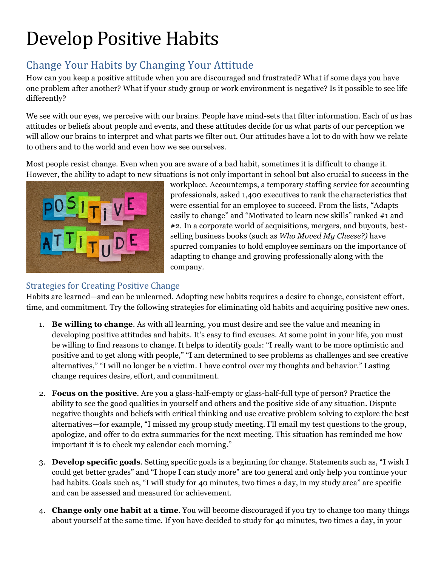## Develop Positive Habits

## Change Your Habits by Changing Your Attitude

How can you keep a positive attitude when you are discouraged and frustrated? What if some days you have one problem after another? What if your study group or work environment is negative? Is it possible to see life differently?

We see with our eyes, we perceive with our brains. People have mind-sets that filter information. Each of us has attitudes or beliefs about people and events, and these attitudes decide for us what parts of our perception we will allow our brains to interpret and what parts we filter out. Our attitudes have a lot to do with how we relate to others and to the world and even how we see ourselves.

Most people resist change. Even when you are aware of a bad habit, sometimes it is difficult to change it. However, the ability to adapt to new situations is not only important in school but also crucial to success in the



workplace. Accountemps, a temporary staffing service for accounting professionals, asked 1,400 executives to rank the characteristics that were essential for an employee to succeed. From the lists, "Adapts easily to change" and "Motivated to learn new skills" ranked #1 and #2. In a corporate world of acquisitions, mergers, and buyouts, bestselling business books (such as *Who Moved My Cheese?)* have spurred companies to hold employee seminars on the importance of adapting to change and growing professionally along with the company.

## **Strategies for Creating Positive Change**

Habits are learned—and can be unlearned. Adopting new habits requires a desire to change, consistent effort, time, and commitment. Try the following strategies for eliminating old habits and acquiring positive new ones.

- 1. **Be willing to change**. As with all learning, you must desire and see the value and meaning in developing positive attitudes and habits. It's easy to find excuses. At some point in your life, you must be willing to find reasons to change. It helps to identify goals: "I really want to be more optimistic and positive and to get along with people," "I am determined to see problems as challenges and see creative alternatives," "I will no longer be a victim. I have control over my thoughts and behavior." Lasting change requires desire, effort, and commitment.
- 2. **Focus on the positive**. Are you a glass-half-empty or glass-half-full type of person? Practice the ability to see the good qualities in yourself and others and the positive side of any situation. Dispute negative thoughts and beliefs with critical thinking and use creative problem solving to explore the best alternatives—for example, "I missed my group study meeting. I'll email my test questions to the group, apologize, and offer to do extra summaries for the next meeting. This situation has reminded me how important it is to check my calendar each morning."
- 3. **Develop specific goals**. Setting specific goals is a beginning for change. Statements such as, "I wish I could get better grades" and "I hope I can study more" are too general and only help you continue your bad habits. Goals such as, "I will study for 40 minutes, two times a day, in my study area" are specific and can be assessed and measured for achievement.
- 4. **Change only one habit at a time**. You will become discouraged if you try to change too many things about yourself at the same time. If you have decided to study for 40 minutes, two times a day, in your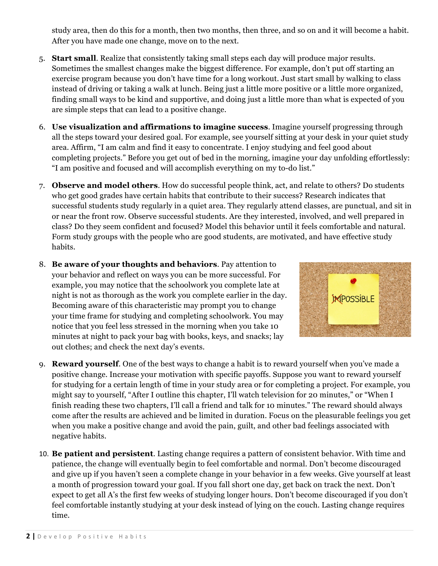study area, then do this for a month, then two months, then three, and so on and it will become a habit. After you have made one change, move on to the next.

- 5. **Start small**. Realize that consistently taking small steps each day will produce major results. Sometimes the smallest changes make the biggest difference. For example, don't put off starting an exercise program because you don't have time for a long workout. Just start small by walking to class instead of driving or taking a walk at lunch. Being just a little more positive or a little more organized, finding small ways to be kind and supportive, and doing just a little more than what is expected of you are simple steps that can lead to a positive change.
- 6. **Use visualization and affirmations to imagine success**. Imagine yourself progressing through all the steps toward your desired goal. For example, see yourself sitting at your desk in your quiet study area. Affirm, "I am calm and find it easy to concentrate. I enjoy studying and feel good about completing projects." Before you get out of bed in the morning, imagine your day unfolding effortlessly: "I am positive and focused and will accomplish everything on my to-do list."
- 7. **Observe and model others**. How do successful people think, act, and relate to others? Do students who get good grades have certain habits that contribute to their success? Research indicates that successful students study regularly in a quiet area. They regularly attend classes, are punctual, and sit in or near the front row. Observe successful students. Are they interested, involved, and well prepared in class? Do they seem confident and focused? Model this behavior until it feels comfortable and natural. Form study groups with the people who are good students, are motivated, and have effective study habits.
- 8. **Be aware of your thoughts and behaviors**. Pay attention to your behavior and reflect on ways you can be more successful. For example, you may notice that the schoolwork you complete late at night is not as thorough as the work you complete earlier in the day. Becoming aware of this characteristic may prompt you to change your time frame for studying and completing schoolwork. You may notice that you feel less stressed in the morning when you take 10 minutes at night to pack your bag with books, keys, and snacks; lay out clothes; and check the next day's events.



- 9. **Reward yourself**. One of the best ways to change a habit is to reward yourself when you've made a positive change. Increase your motivation with specific payoffs. Suppose you want to reward yourself for studying for a certain length of time in your study area or for completing a project. For example, you might say to yourself, "After I outline this chapter, I'll watch television for 20 minutes," or "When I finish reading these two chapters, I'll call a friend and talk for 10 minutes." The reward should always come after the results are achieved and be limited in duration. Focus on the pleasurable feelings you get when you make a positive change and avoid the pain, guilt, and other bad feelings associated with negative habits.
- 10. **Be patient and persistent**. Lasting change requires a pattern of consistent behavior. With time and patience, the change will eventually begin to feel comfortable and normal. Don't become discouraged and give up if you haven't seen a complete change in your behavior in a few weeks. Give yourself at least a month of progression toward your goal. If you fall short one day, get back on track the next. Don't expect to get all A's the first few weeks of studying longer hours. Don't become discouraged if you don't feel comfortable instantly studying at your desk instead of lying on the couch. Lasting change requires time.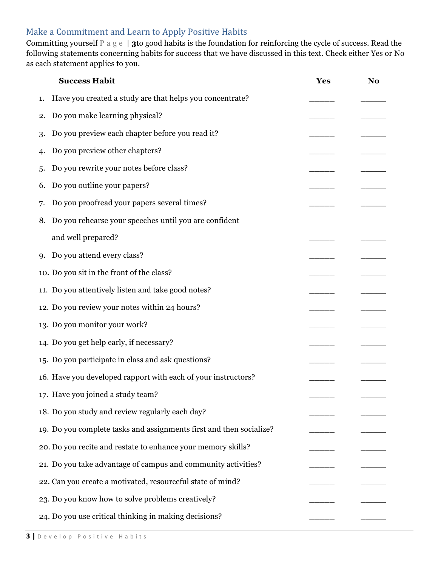## Make a Commitment and Learn to Apply Positive Habits

Committing yourself Page | **3**to good habits is the foundation for reinforcing the cycle of success. Read the following statements concerning habits for success that we have discussed in this text. Check either Yes or No as each statement applies to you.

|    | <b>Success Habit</b>                                                | Yes | N <sub>o</sub> |
|----|---------------------------------------------------------------------|-----|----------------|
| 1. | Have you created a study are that helps you concentrate?            |     |                |
| 2. | Do you make learning physical?                                      |     |                |
| 3. | Do you preview each chapter before you read it?                     |     |                |
| 4. | Do you preview other chapters?                                      |     |                |
| 5. | Do you rewrite your notes before class?                             |     |                |
| 6. | Do you outline your papers?                                         |     |                |
| 7. | Do you proofread your papers several times?                         |     |                |
| 8. | Do you rehearse your speeches until you are confident               |     |                |
|    | and well prepared?                                                  |     |                |
| 9. | Do you attend every class?                                          |     |                |
|    | 10. Do you sit in the front of the class?                           |     |                |
|    | 11. Do you attentively listen and take good notes?                  |     |                |
|    | 12. Do you review your notes within 24 hours?                       |     |                |
|    | 13. Do you monitor your work?                                       |     |                |
|    | 14. Do you get help early, if necessary?                            |     |                |
|    | 15. Do you participate in class and ask questions?                  |     |                |
|    | 16. Have you developed rapport with each of your instructors?       |     |                |
|    | 17. Have you joined a study team?                                   |     |                |
|    | 18. Do you study and review regularly each day?                     |     |                |
|    | 19. Do you complete tasks and assignments first and then socialize? |     |                |
|    | 20. Do you recite and restate to enhance your memory skills?        |     |                |
|    | 21. Do you take advantage of campus and community activities?       |     |                |
|    | 22. Can you create a motivated, resourceful state of mind?          |     |                |
|    | 23. Do you know how to solve problems creatively?                   |     |                |
|    | 24. Do you use critical thinking in making decisions?               |     |                |